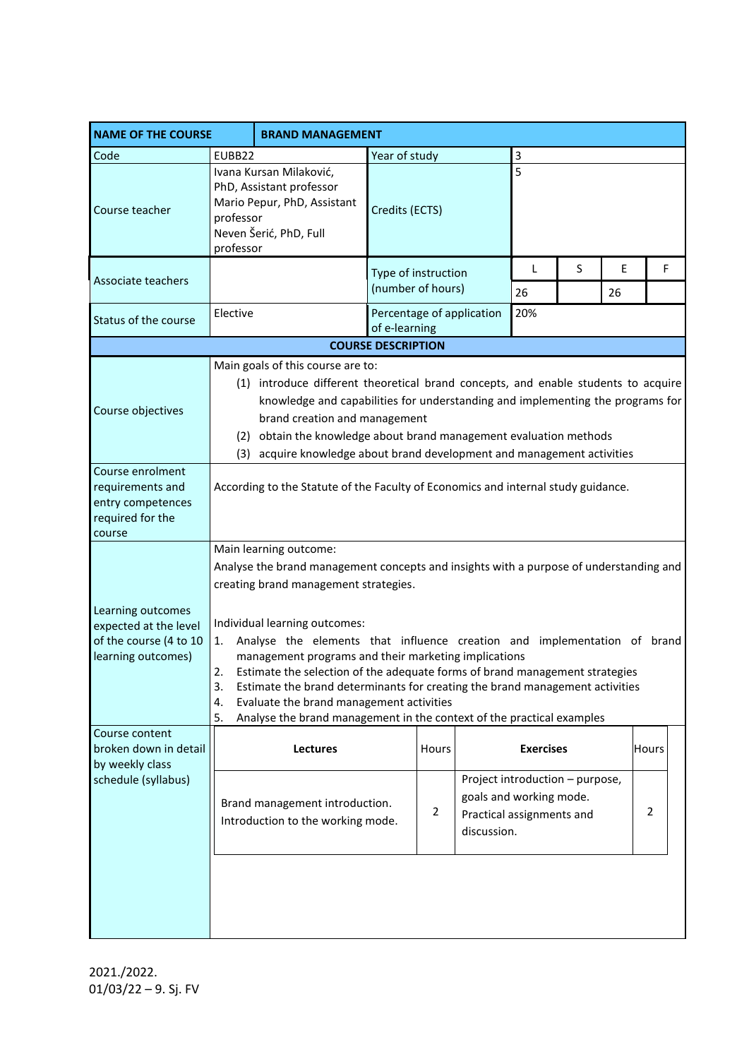| <b>NAME OF THE COURSE</b>                                                                  | <b>BRAND MANAGEMENT</b>                                                                                                                                                                                                                                                                                                                                                                                                                                                             |                                                                     |                           |                                          |                                                                                                        |                  |    |         |              |  |
|--------------------------------------------------------------------------------------------|-------------------------------------------------------------------------------------------------------------------------------------------------------------------------------------------------------------------------------------------------------------------------------------------------------------------------------------------------------------------------------------------------------------------------------------------------------------------------------------|---------------------------------------------------------------------|---------------------------|------------------------------------------|--------------------------------------------------------------------------------------------------------|------------------|----|---------|--------------|--|
| Code                                                                                       | EUBB22                                                                                                                                                                                                                                                                                                                                                                                                                                                                              |                                                                     |                           | Year of study                            |                                                                                                        |                  | 3  |         |              |  |
| Course teacher                                                                             | Ivana Kursan Milaković,<br>PhD, Assistant professor<br>Mario Pepur, PhD, Assistant<br>professor<br>Neven Šerić, PhD, Full<br>professor                                                                                                                                                                                                                                                                                                                                              |                                                                     | 5<br>Credits (ECTS)       |                                          |                                                                                                        |                  |    |         |              |  |
| Associate teachers                                                                         |                                                                                                                                                                                                                                                                                                                                                                                                                                                                                     |                                                                     |                           | Type of instruction<br>(number of hours) |                                                                                                        |                  | S  | E<br>26 | F            |  |
| Status of the course                                                                       | Elective                                                                                                                                                                                                                                                                                                                                                                                                                                                                            |                                                                     | of e-learning             |                                          | Percentage of application                                                                              | 20%              | 26 |         |              |  |
|                                                                                            |                                                                                                                                                                                                                                                                                                                                                                                                                                                                                     |                                                                     | <b>COURSE DESCRIPTION</b> |                                          |                                                                                                        |                  |    |         |              |  |
|                                                                                            |                                                                                                                                                                                                                                                                                                                                                                                                                                                                                     | Main goals of this course are to:                                   |                           |                                          |                                                                                                        |                  |    |         |              |  |
| Course objectives                                                                          | (1) introduce different theoretical brand concepts, and enable students to acquire<br>knowledge and capabilities for understanding and implementing the programs for<br>brand creation and management<br>(2) obtain the knowledge about brand management evaluation methods<br>(3) acquire knowledge about brand development and management activities                                                                                                                              |                                                                     |                           |                                          |                                                                                                        |                  |    |         |              |  |
| Course enrolment<br>requirements and<br>entry competences<br>required for the<br>course    | According to the Statute of the Faculty of Economics and internal study guidance.                                                                                                                                                                                                                                                                                                                                                                                                   |                                                                     |                           |                                          |                                                                                                        |                  |    |         |              |  |
|                                                                                            | Main learning outcome:                                                                                                                                                                                                                                                                                                                                                                                                                                                              |                                                                     |                           |                                          |                                                                                                        |                  |    |         |              |  |
|                                                                                            | Analyse the brand management concepts and insights with a purpose of understanding and                                                                                                                                                                                                                                                                                                                                                                                              |                                                                     |                           |                                          |                                                                                                        |                  |    |         |              |  |
|                                                                                            | creating brand management strategies.                                                                                                                                                                                                                                                                                                                                                                                                                                               |                                                                     |                           |                                          |                                                                                                        |                  |    |         |              |  |
| Learning outcomes<br>expected at the level<br>of the course (4 to 10<br>learning outcomes) | Individual learning outcomes:<br>Analyse the elements that influence creation and implementation of brand<br>1.<br>management programs and their marketing implications<br>Estimate the selection of the adequate forms of brand management strategies<br>2.<br>3.<br>Estimate the brand determinants for creating the brand management activities<br>4.<br>Evaluate the brand management activities<br>5.<br>Analyse the brand management in the context of the practical examples |                                                                     |                           |                                          |                                                                                                        |                  |    |         |              |  |
| Course content<br>broken down in detail                                                    |                                                                                                                                                                                                                                                                                                                                                                                                                                                                                     | <b>Lectures</b>                                                     |                           | Hours                                    |                                                                                                        | <b>Exercises</b> |    |         | <b>Hours</b> |  |
| by weekly class<br>schedule (syllabus)                                                     |                                                                                                                                                                                                                                                                                                                                                                                                                                                                                     | Brand management introduction.<br>Introduction to the working mode. |                           | $\overline{2}$                           | Project introduction - purpose,<br>goals and working mode.<br>Practical assignments and<br>discussion. |                  |    |         | 2            |  |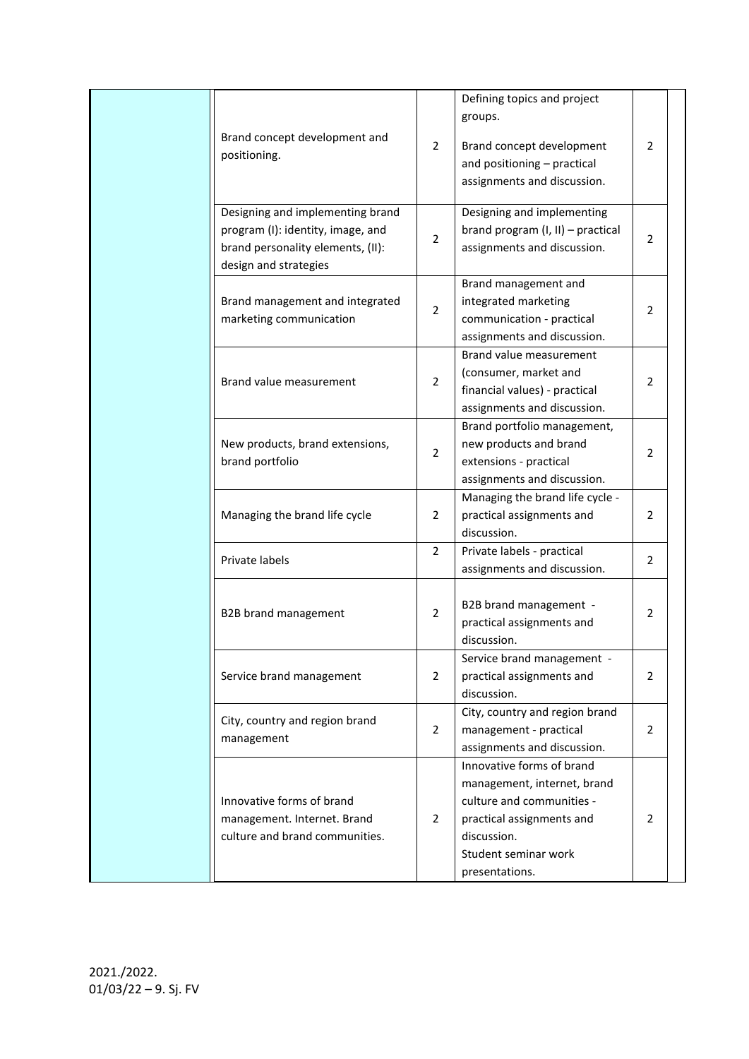| Defining topics and project<br>groups.<br>Brand concept development and<br>$\overline{2}$<br>Brand concept development<br>positioning.<br>and positioning - practical<br>assignments and discussion.<br>Designing and implementing brand<br>Designing and implementing         | 2<br>2         |
|--------------------------------------------------------------------------------------------------------------------------------------------------------------------------------------------------------------------------------------------------------------------------------|----------------|
|                                                                                                                                                                                                                                                                                |                |
|                                                                                                                                                                                                                                                                                |                |
| program (I): identity, image, and<br>brand program (I, II) - practical<br>$\overline{2}$<br>brand personality elements, (II):<br>assignments and discussion.<br>design and strategies                                                                                          |                |
| Brand management and<br>integrated marketing<br>Brand management and integrated<br>$\overline{2}$<br>marketing communication<br>communication - practical<br>assignments and discussion.                                                                                       | 2              |
| Brand value measurement<br>(consumer, market and<br>$\overline{2}$<br>Brand value measurement<br>financial values) - practical<br>assignments and discussion.                                                                                                                  | 2              |
| Brand portfolio management,<br>new products and brand<br>New products, brand extensions,<br>$\overline{2}$<br>brand portfolio<br>extensions - practical<br>assignments and discussion.                                                                                         | 2              |
| Managing the brand life cycle -<br>Managing the brand life cycle<br>$\overline{2}$<br>practical assignments and<br>discussion.                                                                                                                                                 | $\overline{2}$ |
| $\overline{2}$<br>Private labels - practical<br>Private labels<br>assignments and discussion.                                                                                                                                                                                  | 2              |
| B2B brand management -<br>2<br>B2B brand management<br>practical assignments and<br>discussion.                                                                                                                                                                                | 2              |
| Service brand management -<br>Service brand management<br>practical assignments and<br>2<br>discussion.                                                                                                                                                                        | 2              |
| City, country and region brand<br>City, country and region brand<br>$\overline{2}$<br>management - practical<br>management<br>assignments and discussion.                                                                                                                      | 2              |
| Innovative forms of brand<br>management, internet, brand<br>Innovative forms of brand<br>culture and communities -<br>practical assignments and<br>management. Internet. Brand<br>2<br>culture and brand communities.<br>discussion.<br>Student seminar work<br>presentations. | 2              |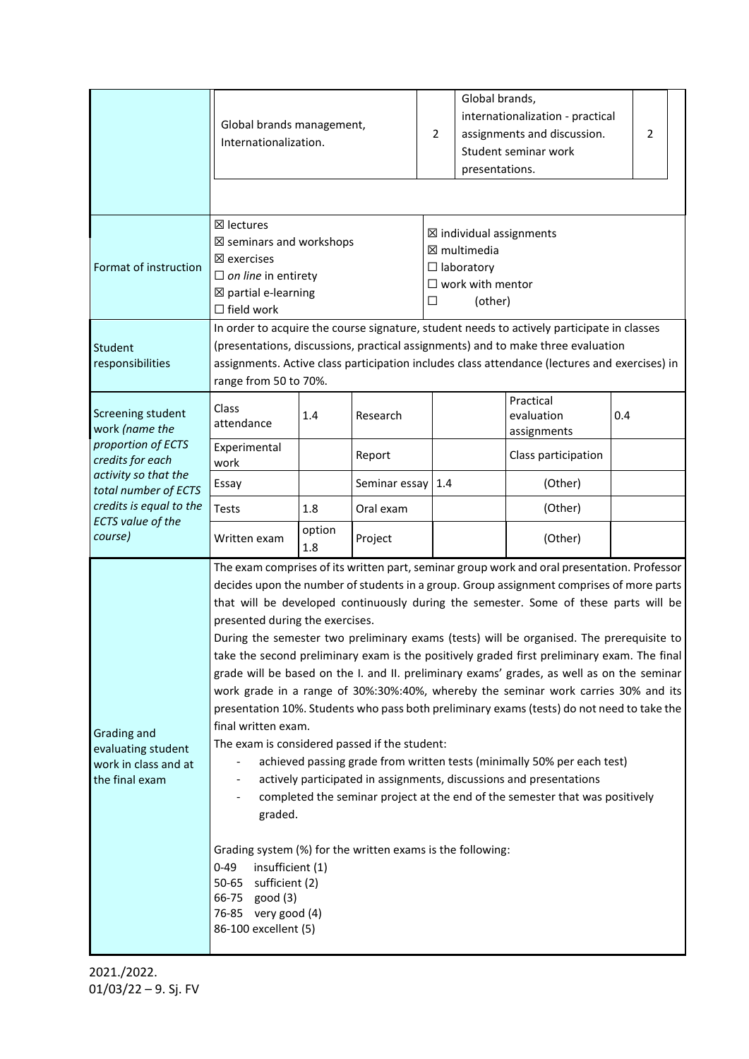|                                                                                                     | Global brands management,<br>Internationalization.                                                                                                                                                                                                                                                                                                                                                                                                                                                                                                                                                                                                                                                                                                                                                                                                                                                                                                                                                                                                                                                                                                                                                                                                                                       |               |               | $\overline{2}$                                                                                                     | Global brands,<br>internationalization - practical<br>assignments and discussion.<br>Student seminar work<br>presentations. |                     |  | 2 |  |
|-----------------------------------------------------------------------------------------------------|------------------------------------------------------------------------------------------------------------------------------------------------------------------------------------------------------------------------------------------------------------------------------------------------------------------------------------------------------------------------------------------------------------------------------------------------------------------------------------------------------------------------------------------------------------------------------------------------------------------------------------------------------------------------------------------------------------------------------------------------------------------------------------------------------------------------------------------------------------------------------------------------------------------------------------------------------------------------------------------------------------------------------------------------------------------------------------------------------------------------------------------------------------------------------------------------------------------------------------------------------------------------------------------|---------------|---------------|--------------------------------------------------------------------------------------------------------------------|-----------------------------------------------------------------------------------------------------------------------------|---------------------|--|---|--|
| Format of instruction                                                                               | ⊠ lectures<br>$\boxtimes$ seminars and workshops<br>$\boxtimes$ exercises<br>$\Box$ on line in entirety<br>$\boxtimes$ partial e-learning<br>$\Box$ field work                                                                                                                                                                                                                                                                                                                                                                                                                                                                                                                                                                                                                                                                                                                                                                                                                                                                                                                                                                                                                                                                                                                           |               |               | $\boxtimes$ individual assignments<br>⊠ multimedia<br>$\Box$ laboratory<br>$\Box$ work with mentor<br>(other)<br>□ |                                                                                                                             |                     |  |   |  |
| Student<br>responsibilities                                                                         | In order to acquire the course signature, student needs to actively participate in classes<br>(presentations, discussions, practical assignments) and to make three evaluation<br>assignments. Active class participation includes class attendance (lectures and exercises) in<br>range from 50 to 70%.                                                                                                                                                                                                                                                                                                                                                                                                                                                                                                                                                                                                                                                                                                                                                                                                                                                                                                                                                                                 |               |               |                                                                                                                    |                                                                                                                             |                     |  |   |  |
| Screening student<br>work (name the                                                                 | Class<br>1.4<br>Research<br>attendance                                                                                                                                                                                                                                                                                                                                                                                                                                                                                                                                                                                                                                                                                                                                                                                                                                                                                                                                                                                                                                                                                                                                                                                                                                                   |               |               | Practical<br>evaluation<br>assignments                                                                             | 0.4                                                                                                                         |                     |  |   |  |
| proportion of ECTS<br>credits for each                                                              | Experimental<br>work                                                                                                                                                                                                                                                                                                                                                                                                                                                                                                                                                                                                                                                                                                                                                                                                                                                                                                                                                                                                                                                                                                                                                                                                                                                                     |               | Report        |                                                                                                                    |                                                                                                                             | Class participation |  |   |  |
| activity so that the<br>total number of ECTS<br>credits is equal to the<br><b>ECTS</b> value of the | Essay                                                                                                                                                                                                                                                                                                                                                                                                                                                                                                                                                                                                                                                                                                                                                                                                                                                                                                                                                                                                                                                                                                                                                                                                                                                                                    |               | Seminar essay | 1.4                                                                                                                |                                                                                                                             | (Other)             |  |   |  |
|                                                                                                     | <b>Tests</b>                                                                                                                                                                                                                                                                                                                                                                                                                                                                                                                                                                                                                                                                                                                                                                                                                                                                                                                                                                                                                                                                                                                                                                                                                                                                             | 1.8           | Oral exam     |                                                                                                                    |                                                                                                                             | (Other)             |  |   |  |
| course)                                                                                             | Written exam                                                                                                                                                                                                                                                                                                                                                                                                                                                                                                                                                                                                                                                                                                                                                                                                                                                                                                                                                                                                                                                                                                                                                                                                                                                                             | option<br>1.8 | Project       |                                                                                                                    |                                                                                                                             | (Other)             |  |   |  |
| Grading and<br>evaluating student<br>work in class and at<br>the final exam                         | The exam comprises of its written part, seminar group work and oral presentation. Professor<br>decides upon the number of students in a group. Group assignment comprises of more parts<br>that will be developed continuously during the semester. Some of these parts will be<br>presented during the exercises.<br>During the semester two preliminary exams (tests) will be organised. The prerequisite to<br>take the second preliminary exam is the positively graded first preliminary exam. The final<br>grade will be based on the I. and II. preliminary exams' grades, as well as on the seminar<br>work grade in a range of 30%:30%:40%, whereby the seminar work carries 30% and its<br>presentation 10%. Students who pass both preliminary exams (tests) do not need to take the<br>final written exam.<br>The exam is considered passed if the student:<br>achieved passing grade from written tests (minimally 50% per each test)<br>actively participated in assignments, discussions and presentations<br>completed the seminar project at the end of the semester that was positively<br>graded.<br>Grading system (%) for the written exams is the following:<br>$0 - 49$<br>insufficient (1)<br>sufficient (2)<br>50-65<br>66-75<br>good(3)<br>76-85 very good (4) |               |               |                                                                                                                    |                                                                                                                             |                     |  |   |  |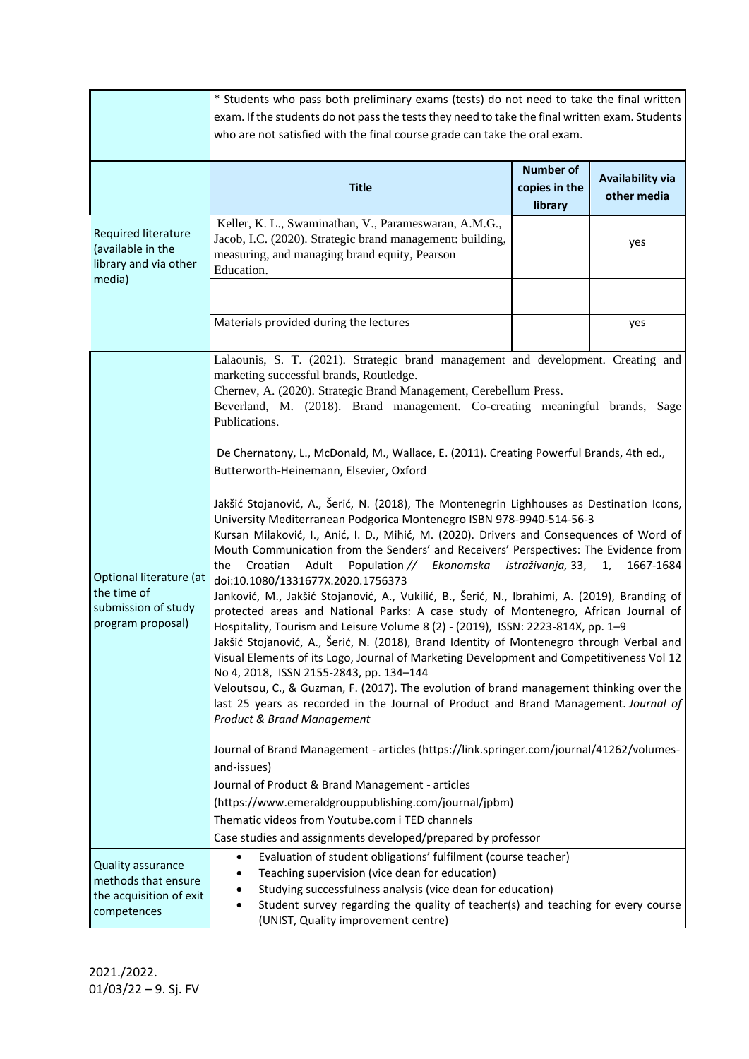|                                                                                    | * Students who pass both preliminary exams (tests) do not need to take the final written                                                                                                                                                                                                                                                                                                                                                                                                                                                                                                                                                                                                                                                                                                                                                                                                                                                                                                                                                                                                                                                                                                                                                                                                                                                                                                                                                                                                                                                                                                                                                                                                                                                                                                                                                                                                                                                                                                                               |                                              |                                        |  |  |  |  |
|------------------------------------------------------------------------------------|------------------------------------------------------------------------------------------------------------------------------------------------------------------------------------------------------------------------------------------------------------------------------------------------------------------------------------------------------------------------------------------------------------------------------------------------------------------------------------------------------------------------------------------------------------------------------------------------------------------------------------------------------------------------------------------------------------------------------------------------------------------------------------------------------------------------------------------------------------------------------------------------------------------------------------------------------------------------------------------------------------------------------------------------------------------------------------------------------------------------------------------------------------------------------------------------------------------------------------------------------------------------------------------------------------------------------------------------------------------------------------------------------------------------------------------------------------------------------------------------------------------------------------------------------------------------------------------------------------------------------------------------------------------------------------------------------------------------------------------------------------------------------------------------------------------------------------------------------------------------------------------------------------------------------------------------------------------------------------------------------------------------|----------------------------------------------|----------------------------------------|--|--|--|--|
|                                                                                    | exam. If the students do not pass the tests they need to take the final written exam. Students                                                                                                                                                                                                                                                                                                                                                                                                                                                                                                                                                                                                                                                                                                                                                                                                                                                                                                                                                                                                                                                                                                                                                                                                                                                                                                                                                                                                                                                                                                                                                                                                                                                                                                                                                                                                                                                                                                                         |                                              |                                        |  |  |  |  |
|                                                                                    | who are not satisfied with the final course grade can take the oral exam.                                                                                                                                                                                                                                                                                                                                                                                                                                                                                                                                                                                                                                                                                                                                                                                                                                                                                                                                                                                                                                                                                                                                                                                                                                                                                                                                                                                                                                                                                                                                                                                                                                                                                                                                                                                                                                                                                                                                              |                                              |                                        |  |  |  |  |
|                                                                                    |                                                                                                                                                                                                                                                                                                                                                                                                                                                                                                                                                                                                                                                                                                                                                                                                                                                                                                                                                                                                                                                                                                                                                                                                                                                                                                                                                                                                                                                                                                                                                                                                                                                                                                                                                                                                                                                                                                                                                                                                                        |                                              |                                        |  |  |  |  |
|                                                                                    | <b>Title</b>                                                                                                                                                                                                                                                                                                                                                                                                                                                                                                                                                                                                                                                                                                                                                                                                                                                                                                                                                                                                                                                                                                                                                                                                                                                                                                                                                                                                                                                                                                                                                                                                                                                                                                                                                                                                                                                                                                                                                                                                           | <b>Number of</b><br>copies in the<br>library | <b>Availability via</b><br>other media |  |  |  |  |
| <b>Required literature</b><br>(available in the<br>library and via other<br>media) | Keller, K. L., Swaminathan, V., Parameswaran, A.M.G.,<br>Jacob, I.C. (2020). Strategic brand management: building,<br>measuring, and managing brand equity, Pearson<br>Education.                                                                                                                                                                                                                                                                                                                                                                                                                                                                                                                                                                                                                                                                                                                                                                                                                                                                                                                                                                                                                                                                                                                                                                                                                                                                                                                                                                                                                                                                                                                                                                                                                                                                                                                                                                                                                                      |                                              | yes                                    |  |  |  |  |
|                                                                                    | Materials provided during the lectures                                                                                                                                                                                                                                                                                                                                                                                                                                                                                                                                                                                                                                                                                                                                                                                                                                                                                                                                                                                                                                                                                                                                                                                                                                                                                                                                                                                                                                                                                                                                                                                                                                                                                                                                                                                                                                                                                                                                                                                 |                                              | yes                                    |  |  |  |  |
| Optional literature (at<br>the time of<br>submission of study<br>program proposal) | Lalaounis, S. T. (2021). Strategic brand management and development. Creating and<br>marketing successful brands, Routledge.<br>Chernev, A. (2020). Strategic Brand Management, Cerebellum Press.<br>Beverland, M. (2018). Brand management. Co-creating meaningful brands, Sage<br>Publications.<br>De Chernatony, L., McDonald, M., Wallace, E. (2011). Creating Powerful Brands, 4th ed.,<br>Butterworth-Heinemann, Elsevier, Oxford<br>Jakšić Stojanović, A., Šerić, N. (2018), The Montenegrin Lighhouses as Destination Icons,<br>University Mediterranean Podgorica Montenegro ISBN 978-9940-514-56-3<br>Kursan Milaković, I., Anić, I. D., Mihić, M. (2020). Drivers and Consequences of Word of<br>Mouth Communication from the Senders' and Receivers' Perspectives: The Evidence from<br>Adult<br>Population // Ekonomska istraživanja, 33,<br>1667-1684<br>the<br>Croatian<br>1,<br>doi:10.1080/1331677X.2020.1756373<br>Janković, M., Jakšić Stojanović, A., Vukilić, B., Šerić, N., Ibrahimi, A. (2019), Branding of<br>protected areas and National Parks: A case study of Montenegro, African Journal of<br>Hospitality, Tourism and Leisure Volume 8 (2) - (2019), ISSN: 2223-814X, pp. 1-9<br>Jakšić Stojanović, A., Šerić, N. (2018), Brand Identity of Montenegro through Verbal and<br>Visual Elements of its Logo, Journal of Marketing Development and Competitiveness Vol 12<br>No 4, 2018, ISSN 2155-2843, pp. 134-144<br>Veloutsou, C., & Guzman, F. (2017). The evolution of brand management thinking over the<br>last 25 years as recorded in the Journal of Product and Brand Management. Journal of<br><b>Product &amp; Brand Management</b><br>Journal of Brand Management - articles (https://link.springer.com/journal/41262/volumes-<br>and-issues)<br>Journal of Product & Brand Management - articles<br>(https://www.emeraldgrouppublishing.com/journal/jpbm)<br>Thematic videos from Youtube.com i TED channels<br>Case studies and assignments developed/prepared by professor |                                              |                                        |  |  |  |  |
| Quality assurance<br>methods that ensure<br>the acquisition of exit<br>competences | Evaluation of student obligations' fulfilment (course teacher)<br>Teaching supervision (vice dean for education)<br>Studying successfulness analysis (vice dean for education)<br>Student survey regarding the quality of teacher(s) and teaching for every course<br>(UNIST, Quality improvement centre)                                                                                                                                                                                                                                                                                                                                                                                                                                                                                                                                                                                                                                                                                                                                                                                                                                                                                                                                                                                                                                                                                                                                                                                                                                                                                                                                                                                                                                                                                                                                                                                                                                                                                                              |                                              |                                        |  |  |  |  |